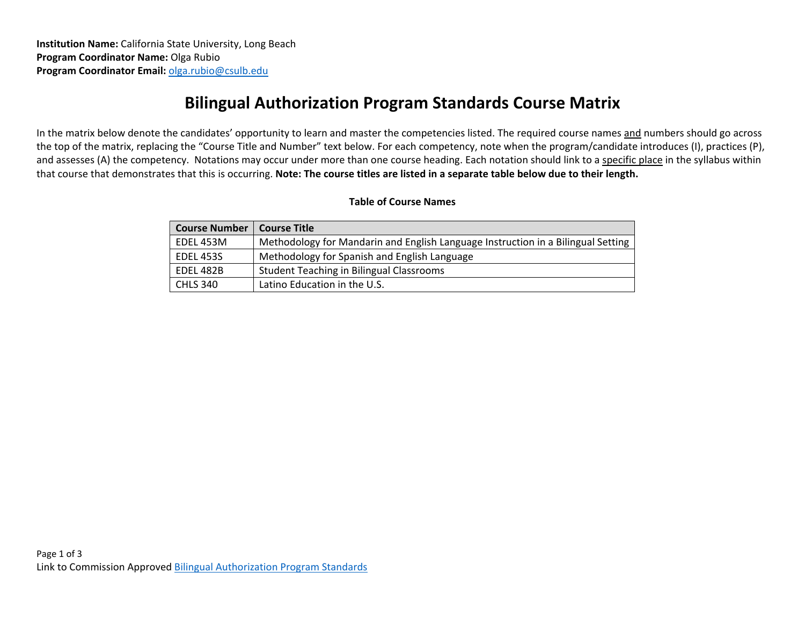## **Bilingual Authorization Program Standards Course Matrix**

In the matrix below denote the candidates' opportunity to learn and master the competencies listed. The required course names and numbers should go across the top of the matrix, replacing the "Course Title and Number" text below. For each competency, note when the program/candidate introduces (I), practices (P), and assesses (A) the competency. Notations may occur under more than one course heading. Each notation should link to a specific place in the syllabus within that course that demonstrates that this is occurring. **Note: The course titles are listed in a separate table below due to their length.**

## **Table of Course Names**

| <b>Course Number</b> | <b>Course Title</b>                                                              |
|----------------------|----------------------------------------------------------------------------------|
| EDEL 453M            | Methodology for Mandarin and English Language Instruction in a Bilingual Setting |
| <b>EDEL 453S</b>     | Methodology for Spanish and English Language                                     |
| EDEL 482B            | <b>Student Teaching in Bilingual Classrooms</b>                                  |
| <b>CHLS 340</b>      | Latino Education in the U.S.                                                     |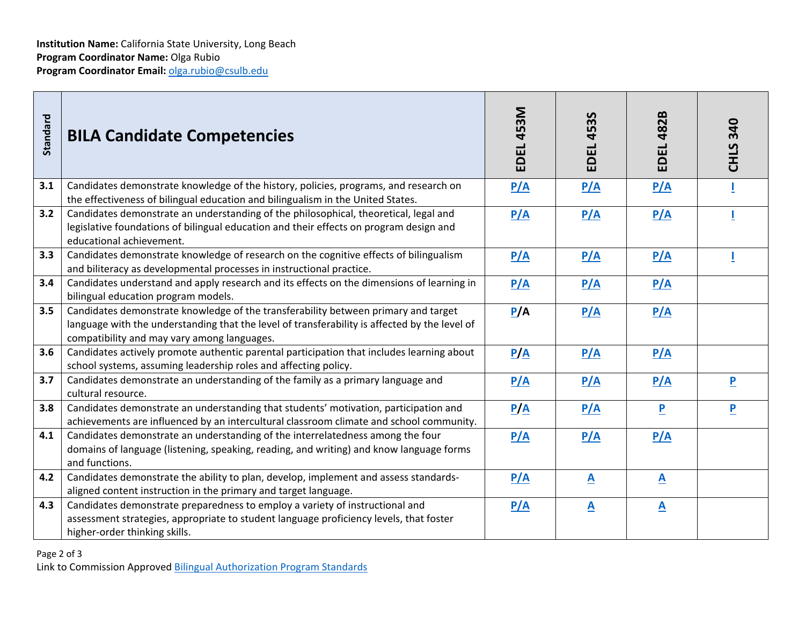| Standard                                                                             | <b>BILA Candidate Competencies</b>                                                                                                                                                                                                 | EDEL 453M | <b>EDEL 453S</b>         | <b>EDEL 482B</b> | <b>CHLS 340</b>         |  |  |
|--------------------------------------------------------------------------------------|------------------------------------------------------------------------------------------------------------------------------------------------------------------------------------------------------------------------------------|-----------|--------------------------|------------------|-------------------------|--|--|
| 3.1                                                                                  | Candidates demonstrate knowledge of the history, policies, programs, and research on<br>the effectiveness of bilingual education and bilingualism in the United States.                                                            | P/A       | P/A                      | P/A              |                         |  |  |
| 3.2                                                                                  | Candidates demonstrate an understanding of the philosophical, theoretical, legal and<br>legislative foundations of bilingual education and their effects on program design and<br>educational achievement.                         | P/A       | P/A                      | P/A              |                         |  |  |
| 3.3                                                                                  | Candidates demonstrate knowledge of research on the cognitive effects of bilingualism<br>and biliteracy as developmental processes in instructional practice.                                                                      | P/A       | P/A                      | P/A              |                         |  |  |
| 3.4                                                                                  | Candidates understand and apply research and its effects on the dimensions of learning in<br>bilingual education program models.                                                                                                   | P/A       | P/A                      | P/A              |                         |  |  |
| 3.5                                                                                  | Candidates demonstrate knowledge of the transferability between primary and target<br>language with the understanding that the level of transferability is affected by the level of<br>compatibility and may vary among languages. | P/A       | P/A                      | P/A              |                         |  |  |
| 3.6                                                                                  | Candidates actively promote authentic parental participation that includes learning about<br>school systems, assuming leadership roles and affecting policy.                                                                       | P/A       | P/A                      | P/A              |                         |  |  |
| 3.7                                                                                  | Candidates demonstrate an understanding of the family as a primary language and<br>cultural resource.                                                                                                                              | P/A       | P/A                      | P/A              | $\overline{\mathbf{P}}$ |  |  |
| 3.8                                                                                  | Candidates demonstrate an understanding that students' motivation, participation and<br>achievements are influenced by an intercultural classroom climate and school community.                                                    | P/A       | P/A                      | $\mathbf{P}$     | $\overline{\mathbf{P}}$ |  |  |
| 4.1                                                                                  | Candidates demonstrate an understanding of the interrelatedness among the four<br>domains of language (listening, speaking, reading, and writing) and know language forms<br>and functions.                                        | P/A       | P/A                      | P/A              |                         |  |  |
| 4.2                                                                                  | Candidates demonstrate the ability to plan, develop, implement and assess standards-<br>aligned content instruction in the primary and target language.                                                                            | P/A       | $\mathbf{A}$             | $\mathbf{A}$     |                         |  |  |
| 4.3                                                                                  | Candidates demonstrate preparedness to employ a variety of instructional and<br>assessment strategies, appropriate to student language proficiency levels, that foster<br>higher-order thinking skills.                            | P/A       | $\mathbf{\underline{A}}$ | $\mathbf{A}$     |                         |  |  |
| Page 2 of 3<br>Link to Commission Approved Bilingual Authorization Program Standards |                                                                                                                                                                                                                                    |           |                          |                  |                         |  |  |